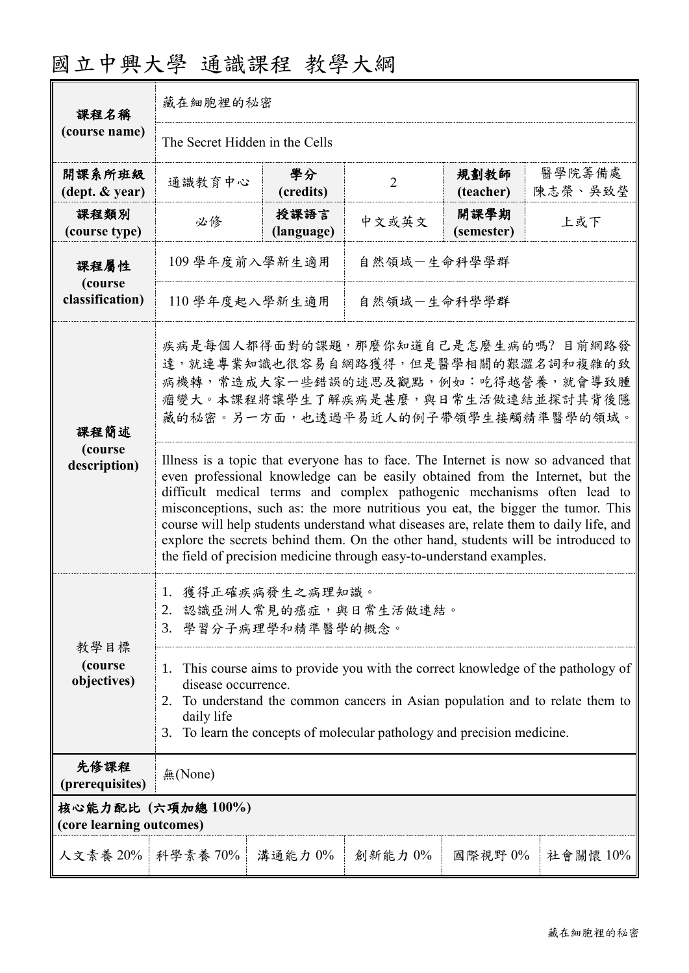| 課程名稱<br>(course name)                          | 藏在細胞裡的秘密                                                                                                                                                                                                                                                                                                                                                                                                                                      |                    |                |                    |                   |  |
|------------------------------------------------|-----------------------------------------------------------------------------------------------------------------------------------------------------------------------------------------------------------------------------------------------------------------------------------------------------------------------------------------------------------------------------------------------------------------------------------------------|--------------------|----------------|--------------------|-------------------|--|
|                                                | The Secret Hidden in the Cells                                                                                                                                                                                                                                                                                                                                                                                                                |                    |                |                    |                   |  |
| 開課系所班級<br>(dept. & year)                       | 通識教育中心                                                                                                                                                                                                                                                                                                                                                                                                                                        | 學分<br>(credits)    | $\overline{2}$ | 規劃教師<br>(teacher)  | 醫學院籌備處<br>陳志榮、吳致瑩 |  |
| 課程類別<br>(course type)                          | 必修                                                                                                                                                                                                                                                                                                                                                                                                                                            | 授課語言<br>(language) | 中文或英文          | 開課學期<br>(semester) | 上或下               |  |
| 課程屬性<br>(course<br>classification)             | 109 學年度前入學新生適用                                                                                                                                                                                                                                                                                                                                                                                                                                |                    | 自然領域-生命科學學群    |                    |                   |  |
|                                                | 自然領域一生命科學學群<br>110 學年度起入學新生適用                                                                                                                                                                                                                                                                                                                                                                                                                 |                    |                |                    |                   |  |
| 課程簡述<br>(course<br>description)                | 疾病是每個人都得面對的課題,那麼你知道自己是怎麼生病的嗎? 目前網路發<br>達,就連專業知識也很容易自網路獲得,但是醫學相關的艱澀名詞和複雜的致<br>病機轉,常造成大家一些錯誤的迷思及觀點,例如:吃得越營養,就會導致腫<br>瘤變大。本課程將讓學生了解疾病是甚麼,與日常生活做連結並探討其背後隱<br>藏的秘密。另一方面,也透過平易近人的例子帶領學生接觸精準醫學的領域。<br>Illness is a topic that everyone has to face. The Internet is now so advanced that<br>even professional knowledge can be easily obtained from the Internet, but the<br>difficult medical terms and complex pathogenic mechanisms often lead to |                    |                |                    |                   |  |
|                                                | misconceptions, such as: the more nutritious you eat, the bigger the tumor. This<br>course will help students understand what diseases are, relate them to daily life, and<br>explore the secrets behind them. On the other hand, students will be introduced to<br>the field of precision medicine through easy-to-understand examples.                                                                                                      |                    |                |                    |                   |  |
| 教學目標<br>(course<br>objectives)                 | 1. 獲得正確疾病發生之病理知識。<br>認識亞洲人常見的癌症,與日常生活做連結。<br>3. 學習分子病理學和精準醫學的概念。                                                                                                                                                                                                                                                                                                                                                                              |                    |                |                    |                   |  |
|                                                | This course aims to provide you with the correct knowledge of the pathology of<br>1.<br>disease occurrence.<br>To understand the common cancers in Asian population and to relate them to<br>2.<br>daily life<br>To learn the concepts of molecular pathology and precision medicine.<br>3.                                                                                                                                                   |                    |                |                    |                   |  |
| 先修課程<br>(prerequisites)                        | 無(None)                                                                                                                                                                                                                                                                                                                                                                                                                                       |                    |                |                    |                   |  |
| 核心能力配比 (六項加總 100%)<br>(core learning outcomes) |                                                                                                                                                                                                                                                                                                                                                                                                                                               |                    |                |                    |                   |  |
| 人文素養 20%   科學素養 70%                            |                                                                                                                                                                                                                                                                                                                                                                                                                                               | 溝通能力 0%            | 創新能力0%         | 國際視野0%             | 社會關懷 10%          |  |

## 國立中興大學 通識課程 教學大綱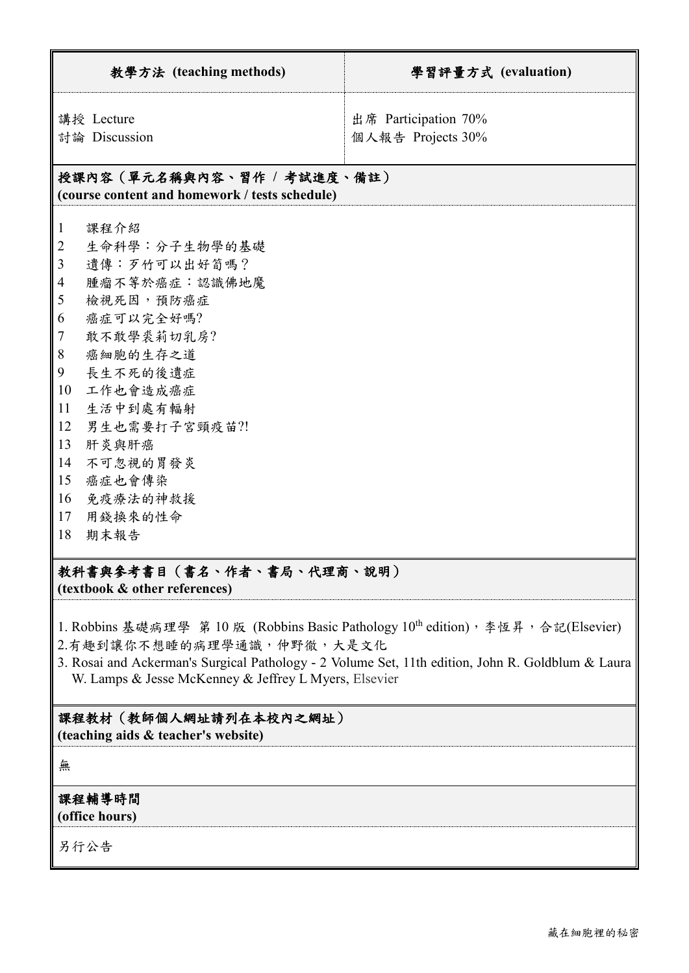| 出席 Participation 70%<br>講授 Lecture<br>討論 Discussion<br>個人報告 Projects 30%<br>授課內容(單元名稱與內容、習作 / 考試進度、備註)<br>(course content and homework / tests schedule)<br>課程介紹<br>$\mathbf{1}$<br>生命科學:分子生物學的基礎<br>$\overline{2}$<br>3<br>遺傳:歹竹可以出好筍嗎?<br>腫瘤不等於癌症:認識佛地魔<br>$\overline{4}$<br>檢視死因,預防癌症<br>5<br>癌症可以完全好嗎?<br>6<br>敢不敢學裘莉切乳房?<br>7<br>8<br>癌細胞的生存之道<br>9<br>長生不死的後遺症<br>10<br>工作也會造成癌症<br>11<br>生活中到處有輻射<br>12<br>男生也需要打子宮頸疫苗?!<br>13<br>肝炎與肝癌<br>14<br>不可忽視的胃發炎<br>15<br>癌症也會傳染<br>16<br>免疫療法的神救援<br>用錢換來的性命<br>17<br>18<br>期末報告 | 教學方法 (teaching methods) | 學習評量方式 (evaluation) |  |  |  |
|-----------------------------------------------------------------------------------------------------------------------------------------------------------------------------------------------------------------------------------------------------------------------------------------------------------------------------------------------------------------------------------------------------------------------------------------------------------------------------------------------------------------------------------|-------------------------|---------------------|--|--|--|
|                                                                                                                                                                                                                                                                                                                                                                                                                                                                                                                                   |                         |                     |  |  |  |
|                                                                                                                                                                                                                                                                                                                                                                                                                                                                                                                                   |                         |                     |  |  |  |
| 教科書與參考書目(書名、作者、書局、代理商、說明)                                                                                                                                                                                                                                                                                                                                                                                                                                                                                                         |                         |                     |  |  |  |

**(textbook & other references)**

- 1. Robbins 基礎病理學 第 10 版 (Robbins Basic Pathology 10th edition), 李恆昇, 合記(Elsevier)
- 2.有趣到讓你不想睡的病理學通識,仲野徹,大是文化
- 3. Rosai and Ackerman's Surgical Pathology 2 Volume Set, 11th edition, John R. Goldblum & Laura W. Lamps & Jesse McKenney & Jeffrey L Myers, Elsevier

## 課程教材(教師個人網址請列在本校內之網址)

**(teaching aids & teacher's website)**

無

## 課程輔導時間 **(office hours)**

另行公告